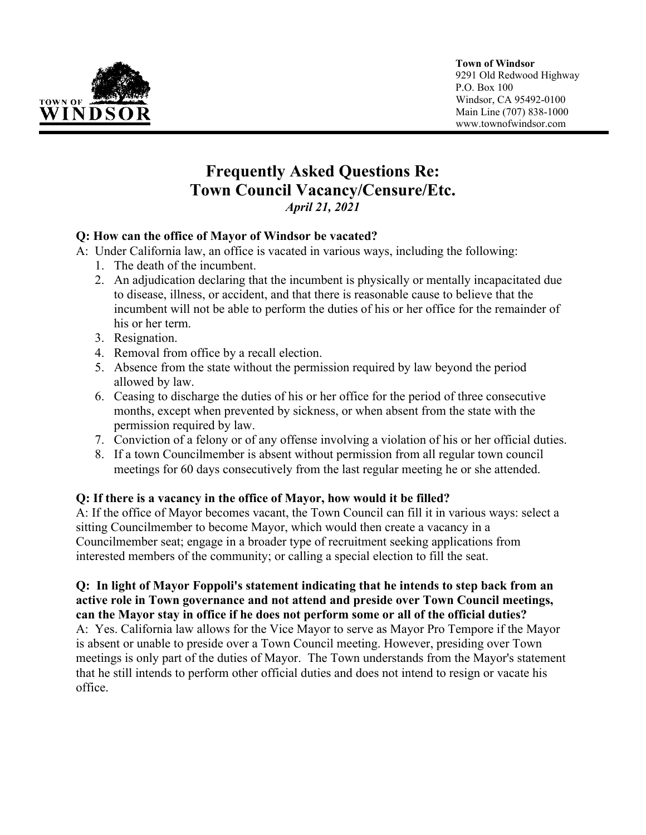

#### **Town of Windsor**

9291 Old Redwood Highway P.O. Box 100 Windsor, CA 95492-0100 Main Line (707) 838-1000 www.townofwindsor.com

# **Frequently Asked Questions Re: Town Council Vacancy/Censure/Etc.** *April 21, 2021*

#### **Q: How can the office of Mayor of Windsor be vacated?**

A:Under California law, an office is vacated in various ways, including the following:

- 1. The death of the incumbent.
- 2. An adjudication declaring that the incumbent is physically or mentally incapacitated due to disease, illness, or accident, and that there is reasonable cause to believe that the incumbent will not be able to perform the duties of his or her office for the remainder of his or her term.
- 3. Resignation.
- 4. Removal from office by a recall election.
- 5. Absence from the state without the permission required by law beyond the period allowed by law.
- 6. Ceasing to discharge the duties of his or her office for the period of three consecutive months, except when prevented by sickness, or when absent from the state with the permission required by law.
- 7. Conviction of a felony or of any offense involving a violation of his or her official duties.
- 8. If a town Councilmember is absent without permission from all regular town council meetings for 60 days consecutively from the last regular meeting he or she attended.

#### **Q: If there is a vacancy in the office of Mayor, how would it be filled?**

A: If the office of Mayor becomes vacant, the Town Council can fill it in various ways: select a sitting Councilmember to become Mayor, which would then create a vacancy in a Councilmember seat; engage in a broader type of recruitment seeking applications from interested members of the community; or calling a special election to fill the seat.

#### **Q: In light of Mayor Foppoli's statement indicating that he intends to step back from an active role in Town governance and not attend and preside over Town Council meetings, can the Mayor stay in office if he does not perform some or all of the official duties?**

A: Yes. California law allows for the Vice Mayor to serve as Mayor Pro Tempore if the Mayor is absent or unable to preside over a Town Council meeting. However, presiding over Town meetings is only part of the duties of Mayor. The Town understands from the Mayor's statement that he still intends to perform other official duties and does not intend to resign or vacate his office.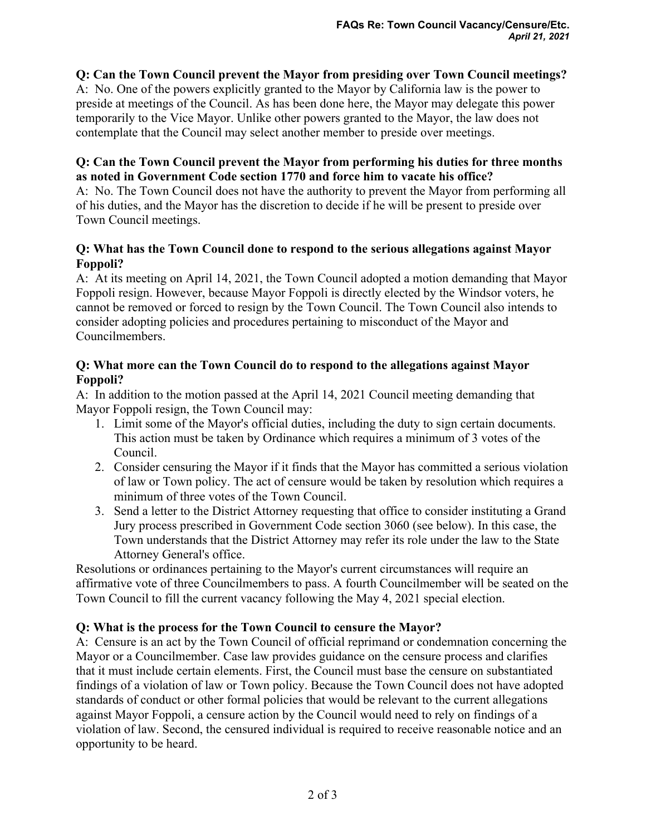# **Q: Can the Town Council prevent the Mayor from presiding over Town Council meetings?**

A: No. One of the powers explicitly granted to the Mayor by California law is the power to preside at meetings of the Council. As has been done here, the Mayor may delegate this power temporarily to the Vice Mayor. Unlike other powers granted to the Mayor, the law does not contemplate that the Council may select another member to preside over meetings.

#### **Q: Can the Town Council prevent the Mayor from performing his duties for three months as noted in Government Code section 1770 and force him to vacate his office?**

A: No. The Town Council does not have the authority to prevent the Mayor from performing all of his duties, and the Mayor has the discretion to decide if he will be present to preside over Town Council meetings.

## **Q: What has the Town Council done to respond to the serious allegations against Mayor Foppoli?**

A: At its meeting on April 14, 2021, the Town Council adopted a motion demanding that Mayor Foppoli resign. However, because Mayor Foppoli is directly elected by the Windsor voters, he cannot be removed or forced to resign by the Town Council. The Town Council also intends to consider adopting policies and procedures pertaining to misconduct of the Mayor and Councilmembers.

# **Q: What more can the Town Council do to respond to the allegations against Mayor Foppoli?**

A: In addition to the motion passed at the April 14, 2021 Council meeting demanding that Mayor Foppoli resign, the Town Council may:

- 1. Limit some of the Mayor's official duties, including the duty to sign certain documents. This action must be taken by Ordinance which requires a minimum of 3 votes of the Council.
- 2. Consider censuring the Mayor if it finds that the Mayor has committed a serious violation of law or Town policy. The act of censure would be taken by resolution which requires a minimum of three votes of the Town Council.
- 3. Send a letter to the District Attorney requesting that office to consider instituting a Grand Jury process prescribed in Government Code section 3060 (see below). In this case, the Town understands that the District Attorney may refer its role under the law to the State Attorney General's office.

Resolutions or ordinances pertaining to the Mayor's current circumstances will require an affirmative vote of three Councilmembers to pass. A fourth Councilmember will be seated on the Town Council to fill the current vacancy following the May 4, 2021 special election.

#### **Q: What is the process for the Town Council to censure the Mayor?**

A: Censure is an act by the Town Council of official reprimand or condemnation concerning the Mayor or a Councilmember. Case law provides guidance on the censure process and clarifies that it must include certain elements. First, the Council must base the censure on substantiated findings of a violation of law or Town policy. Because the Town Council does not have adopted standards of conduct or other formal policies that would be relevant to the current allegations against Mayor Foppoli, a censure action by the Council would need to rely on findings of a violation of law. Second, the censured individual is required to receive reasonable notice and an opportunity to be heard.